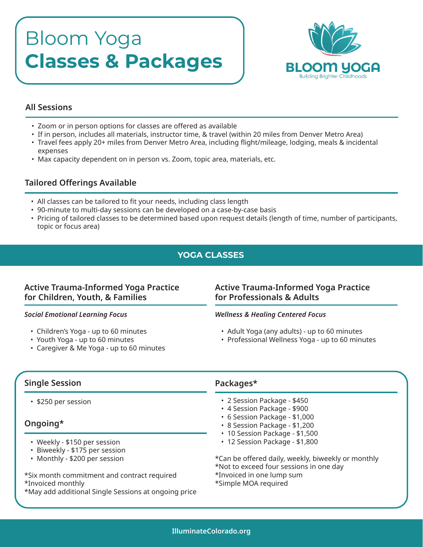# Bloom Yoga **Classes & Packages**



## **All Sessions**

- Zoom or in person options for classes are offered as available
- If in person, includes all materials, instructor time, & travel (within 20 miles from Denver Metro Area)
- Travel fees apply 20+ miles from Denver Metro Area, including flight/mileage, lodging, meals & incidental expenses
- Max capacity dependent on in person vs. Zoom, topic area, materials, etc.

# **Tailored Offerings Available**

- All classes can be tailored to fit your needs, including class length
- 90-minute to multi-day sessions can be developed on a case-by-case basis
- Pricing of tailored classes to be determined based upon request details (length of time, number of participants, topic or focus area)

# **YOGA CLASSES**

# **Active Trauma-Informed Yoga Practice for Children, Youth, & Families**

#### *Social Emotional Learning Focus*

- Children's Yoga up to 60 minutes
- Youth Yoga up to 60 minutes
- Caregiver & Me Yoga up to 60 minutes

# **Active Trauma-Informed Yoga Practice for Professionals & Adults**

#### *Wellness & Healing Centered Focus*

- Adult Yoga (any adults) up to 60 minutes
- Professional Wellness Yoga up to 60 minutes

# **Single Session**

• \$250 per session

# **Ongoing\***

- Weekly \$150 per session
- Biweekly \$175 per session
- Monthly \$200 per session

\*Six month commitment and contract required \*Invoiced monthly

\*May add additional Single Sessions at ongoing price

## **Packages\***

- 2 Session Package \$450
- 4 Session Package \$900
- 6 Session Package \$1,000
- 8 Session Package \$1,200
- 10 Session Package \$1,500
- 12 Session Package \$1,800
- \*Can be offered daily, weekly, biweekly or monthly
- \*Not to exceed four sessions in one day
- \*Invoiced in one lump sum
- \*Simple MOA required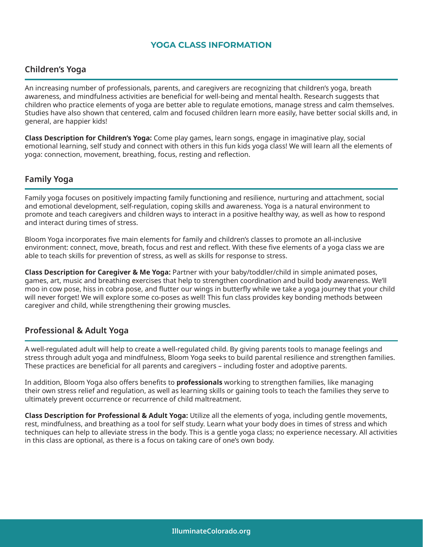## **YOGA CLASS INFORMATION**

## **Children's Yoga**

An increasing number of professionals, parents, and caregivers are recognizing that children's yoga, breath awareness, and mindfulness activities are beneficial for well-being and mental health. Research suggests that children who practice elements of yoga are better able to regulate emotions, manage stress and calm themselves. Studies have also shown that centered, calm and focused children learn more easily, have better social skills and, in general, are happier kids!

**Class Description for Children's Yoga:** Come play games, learn songs, engage in imaginative play, social emotional learning, self study and connect with others in this fun kids yoga class! We will learn all the elements of yoga: connection, movement, breathing, focus, resting and reflection.

## **Family Yoga**

Family yoga focuses on positively impacting family functioning and resilience, nurturing and attachment, social and emotional development, self-regulation, coping skills and awareness. Yoga is a natural environment to promote and teach caregivers and children ways to interact in a positive healthy way, as well as how to respond and interact during times of stress.

Bloom Yoga incorporates five main elements for family and children's classes to promote an all-inclusive environment: connect, move, breath, focus and rest and reflect. With these five elements of a yoga class we are able to teach skills for prevention of stress, as well as skills for response to stress.

**Class Description for Caregiver & Me Yoga:** Partner with your baby/toddler/child in simple animated poses, games, art, music and breathing exercises that help to strengthen coordination and build body awareness. We'll moo in cow pose, hiss in cobra pose, and flutter our wings in butterfly while we take a yoga journey that your child will never forget! We will explore some co-poses as well! This fun class provides key bonding methods between caregiver and child, while strengthening their growing muscles.

## **Professional & Adult Yoga**

A well-regulated adult will help to create a well-regulated child. By giving parents tools to manage feelings and stress through adult yoga and mindfulness, Bloom Yoga seeks to build parental resilience and strengthen families. These practices are beneficial for all parents and caregivers – including foster and adoptive parents.

In addition, Bloom Yoga also offers benefits to **professionals** working to strengthen families, like managing their own stress relief and regulation, as well as learning skills or gaining tools to teach the families they serve to ultimately prevent occurrence or recurrence of child maltreatment.

**Class Description for Professional & Adult Yoga:** Utilize all the elements of yoga, including gentle movements, rest, mindfulness, and breathing as a tool for self study. Learn what your body does in times of stress and which techniques can help to alleviate stress in the body. This is a gentle yoga class; no experience necessary. All activities in this class are optional, as there is a focus on taking care of one's own body.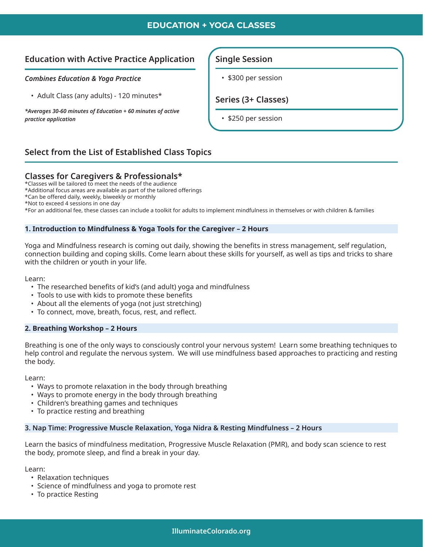## **EDUCATION + YOGA CLASSES**

## **Education with Active Practice Application**

#### *Combines Education & Yoga Practice*

• Adult Class (any adults) - 120 minutes\*

*\*Averages 30-60 minutes of Education + 60 minutes of active practice application*

#### **Single Session**

• \$300 per session

**Series (3+ Classes)** 

• \$250 per session

# **Select from the List of Established Class Topics**

## **Classes for Caregivers & Professionals\***

\*Classes will be tailored to meet the needs of the audience

\*Additional focus areas are available as part of the tailored offerings

\*Can be offered daily, weekly, biweekly or monthly

\*Not to exceed 4 sessions in one day

\*For an additional fee, these classes can include a toolkit for adults to implement mindfulness in themselves or with children & families

#### **1. Introduction to Mindfulness & Yoga Tools for the Caregiver – 2 Hours**

Yoga and Mindfulness research is coming out daily, showing the benefits in stress management, self regulation, connection building and coping skills. Come learn about these skills for yourself, as well as tips and tricks to share with the children or youth in your life.

Learn:

- The researched benefits of kid's (and adult) yoga and mindfulness
- Tools to use with kids to promote these benefits
- About all the elements of yoga (not just stretching)
- To connect, move, breath, focus, rest, and reflect.

#### **2. Breathing Workshop – 2 Hours**

Breathing is one of the only ways to consciously control your nervous system! Learn some breathing techniques to help control and regulate the nervous system. We will use mindfulness based approaches to practicing and resting the body.

Learn:

- Ways to promote relaxation in the body through breathing
- Ways to promote energy in the body through breathing
- Children's breathing games and techniques
- To practice resting and breathing

#### **3. Nap Time: Progressive Muscle Relaxation, Yoga Nidra & Resting Mindfulness – 2 Hours**

Learn the basics of mindfulness meditation, Progressive Muscle Relaxation (PMR), and body scan science to rest the body, promote sleep, and find a break in your day.

Learn:

- Relaxation techniques
- Science of mindfulness and yoga to promote rest
- To practice Resting